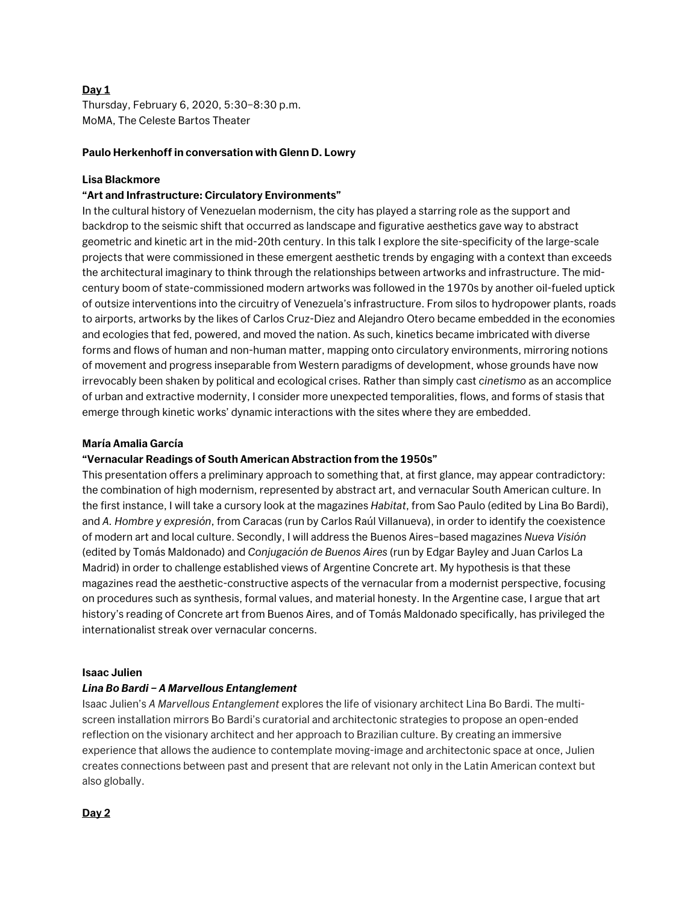# **Day 1**

Thursday, February 6, 2020, 5:30–8:30 p.m. MoMA, The Celeste Bartos Theater

## **Paulo Herkenhoff in conversation with Glenn D. Lowry**

## **Lisa Blackmore**

## **"Art and Infrastructure: Circulatory Environments"**

In the cultural history of Venezuelan modernism, the city has played a starring role as the support and backdrop to the seismic shift that occurred as landscape and figurative aesthetics gave way to abstract geometric and kinetic art in the mid-20th century. In this talk I explore the site-specificity of the large-scale projects that were commissioned in these emergent aesthetic trends by engaging with a context than exceeds the architectural imaginary to think through the relationships between artworks and infrastructure. The midcentury boom of state-commissioned modern artworks was followed in the 1970s by another oil-fueled uptick of outsize interventions into the circuitry of Venezuela's infrastructure. From silos to hydropower plants, roads to airports, artworks by the likes of Carlos Cruz-Diez and Alejandro Otero became embedded in the economies and ecologies that fed, powered, and moved the nation. As such, kinetics became imbricated with diverse forms and flows of human and non-human matter, mapping onto circulatory environments, mirroring notions of movement and progress inseparable from Western paradigms of development, whose grounds have now irrevocably been shaken by political and ecological crises. Rather than simply cast *cinetismo* as an accomplice of urban and extractive modernity, I consider more unexpected temporalities, flows, and forms of stasis that emerge through kinetic works' dynamic interactions with the sites where they are embedded.

### **María Amalia García**

### **"Vernacular Readings of South American Abstraction from the 1950s"**

This presentation offers a preliminary approach to something that, at first glance, may appear contradictory: the combination of high modernism, represented by abstract art, and vernacular South American culture. In the first instance, I will take a cursory look at the magazines *Habitat*, from Sao Paulo (edited by Lina Bo Bardi), and *A. Hombre y expresión*, from Caracas (run by Carlos Raúl Villanueva), in order to identify the coexistence of modern art and local culture. Secondly, I will address the Buenos Aires–based magazines *Nueva Visión* (edited by Tomás Maldonado) and *Conjugación de Buenos Aires* (run by Edgar Bayley and Juan Carlos La Madrid) in order to challenge established views of Argentine Concrete art. My hypothesis is that these magazines read the aesthetic-constructive aspects of the vernacular from a modernist perspective, focusing on procedures such as synthesis, formal values, and material honesty. In the Argentine case, I argue that art history's reading of Concrete art from Buenos Aires, and of Tomás Maldonado specifically, has privileged the internationalist streak over vernacular concerns.

### **Isaac Julien**

### *Lina Bo Bardi – A Marvellous Entanglement*

Isaac Julien's *A Marvellous Entanglement* explores the life of visionary architect Lina Bo Bardi. The multiscreen installation mirrors Bo Bardi's curatorial and architectonic strategies to propose an open-ended reflection on the visionary architect and her approach to Brazilian culture. By creating an immersive experience that allows the audience to contemplate moving-image and architectonic space at once, Julien creates connections between past and present that are relevant not only in the Latin American context but also globally.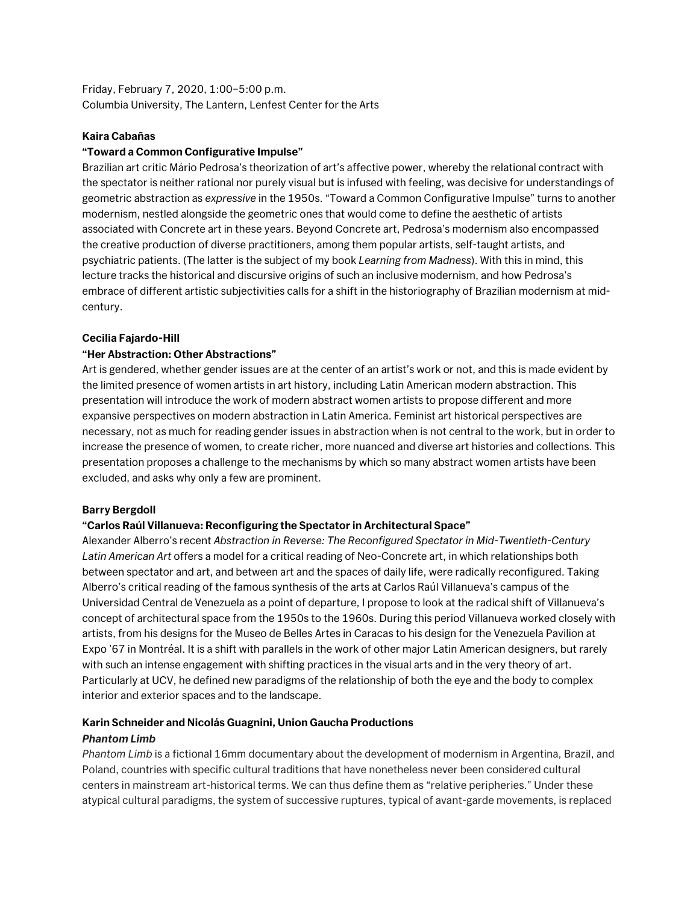Friday, February 7, 2020, 1:00–5:00 p.m. Columbia University, The Lantern, Lenfest Center for the Arts

## **Kaira Cabañas**

# **"Toward a Common Configurative Impulse"**

Brazilian art critic Mário Pedrosa's theorization of art's affective power, whereby the relational contract with the spectator is neither rational nor purely visual but is infused with feeling, was decisive for understandings of geometric abstraction as *expressive* in the 1950s. "Toward a Common Configurative Impulse" turns to another modernism, nestled alongside the geometric ones that would come to define the aesthetic of artists associated with Concrete art in these years. Beyond Concrete art, Pedrosa's modernism also encompassed the creative production of diverse practitioners, among them popular artists, self-taught artists, and psychiatric patients. (The latter is the subject of my book *Learning from Madness*). With this in mind, this lecture tracks the historical and discursive origins of such an inclusive modernism, and how Pedrosa's embrace of different artistic subjectivities calls for a shift in the historiography of Brazilian modernism at midcentury.

## **Cecilia Fajardo-Hill**

## **"Her Abstraction: Other Abstractions"**

Art is gendered, whether gender issues are at the center of an artist's work or not, and this is made evident by the limited presence of women artists in art history, including Latin American modern abstraction. This presentation will introduce the work of modern abstract women artists to propose different and more expansive perspectives on modern abstraction in Latin America. Feminist art historical perspectives are necessary, not as much for reading gender issues in abstraction when is not central to the work, but in order to increase the presence of women, to create richer, more nuanced and diverse art histories and collections. This presentation proposes a challenge to the mechanisms by which so many abstract women artists have been excluded, and asks why only a few are prominent.

### **Barry Bergdoll**

### **"Carlos Raúl Villanueva: Reconfiguring the Spectator in Architectural Space"**

Alexander Alberro's recent *Abstraction in Reverse: The Reconfigured Spectator in Mid-Twentieth-Century Latin American Art* offers a model for a critical reading of Neo-Concrete art, in which relationships both between spectator and art, and between art and the spaces of daily life, were radically reconfigured. Taking Alberro's critical reading of the famous synthesis of the arts at Carlos Raúl Villanueva's campus of the Universidad Central de Venezuela as a point of departure, I propose to look at the radical shift of Villanueva's concept of architectural space from the 1950s to the 1960s. During this period Villanueva worked closely with artists, from his designs for the Museo de Belles Artes in Caracas to his design for the Venezuela Pavilion at Expo '67 in Montréal. It is a shift with parallels in the work of other major Latin American designers, but rarely with such an intense engagement with shifting practices in the visual arts and in the very theory of art. Particularly at UCV, he defined new paradigms of the relationship of both the eye and the body to complex interior and exterior spaces and to the landscape.

# **Karin Schneider and Nicolás Guagnini, Union Gaucha Productions**

### *Phantom Limb*

*Phantom Limb* is a fictional 16mm documentary about the development of modernism in Argentina, Brazil, and Poland, countries with specific cultural traditions that have nonetheless never been considered cultural centers in mainstream art-historical terms. We can thus define them as "relative peripheries." Under these atypical cultural paradigms, the system of successive ruptures, typical of avant-garde movements, is replaced